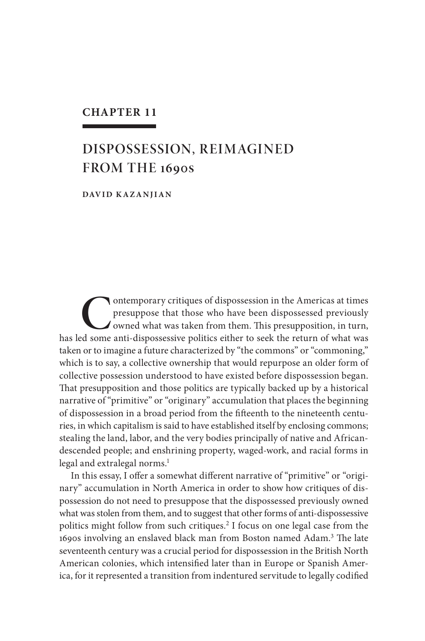# **CHAPTER 11**

# **DISPOSSESSION, R EIMAGINED FROM THE 1690s**

**DAV ID K A Z A N JI A N**

**Contemporary critiques of dispossession in the Americas at times<br>presuppose that those who have been dispossessed previously<br>owned what was taken from them. This presupposition, in turn,<br>d some anti-dispossessive politics** presuppose that those who have been dispossessed previously owned what was taken from them. This presupposition, in turn, has led some anti-dispossessive politics either to seek the return of what was taken or to imagine a future characterized by "the commons" or "commoning," which is to say, a collective ownership that would repurpose an older form of collective possession understood to have existed before dispossession began. That presupposition and those politics are typically backed up by a historical narrative of "primitive" or "originary" accumulation that places the beginning of dispossession in a broad period from the fifteenth to the nineteenth centuries, in which capitalism is said to have established itself by enclosing commons; stealing the land, labor, and the very bodies principally of native and Africandescended people; and enshrining property, waged-work, and racial forms in legal and extralegal norms.<sup>1</sup>

In this essay, I offer a somewhat different narrative of "primitive" or "originary" accumulation in North America in order to show how critiques of dispossession do not need to presuppose that the dispossessed previously owned what was stolen from them, and to suggest that other forms of anti- dispossessive politics might follow from such critiques.<sup>2</sup> I focus on one legal case from the 1690s involving an enslaved black man from Boston named Adam.<sup>3</sup> The late seventeenth century was a crucial period for dispossession in the British North American colonies, which intensified later than in Europe or Spanish America, for it represented a transition from indentured servitude to legally codified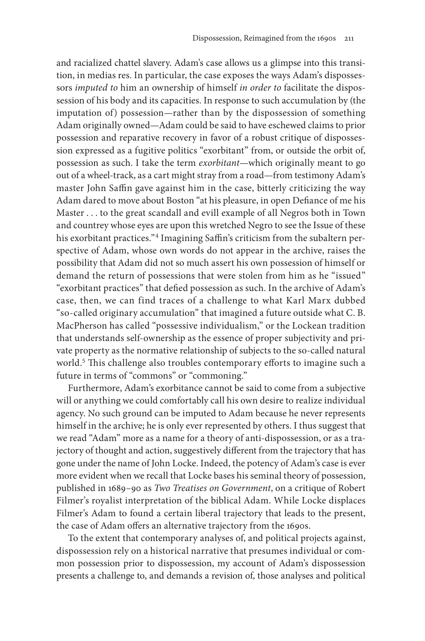and racialized chattel slavery. Adam's case allows us a glimpse into this transition, in medias res. In particular, the case exposes the ways Adam's dispossessors *imputed to* him an ownership of himself *in order to* facilitate the dispossession of his body and its capacities. In response to such accumulation by (the imputation of) possession— rather than by the dispossession of something Adam originally owned— Adam could be said to have eschewed claims to prior possession and reparative recovery in favor of a robust critique of dispossession expressed as a fugitive politics "exorbitant" from, or outside the orbit of, possession as such. I take the term *exorbitant*— which originally meant to go out of a wheel- track, as a cart might stray from a road— from testimony Adam's master John Saffin gave against him in the case, bitterly criticizing the way Adam dared to move about Boston "at his pleasure, in open Defiance of me his Master . . . to the great scandall and evill example of all Negros both in Town and countrey whose eyes are upon this wretched Negro to see the Issue of these his exorbitant practices."<sup>4</sup> Imagining Saffin's criticism from the subaltern perspective of Adam, whose own words do not appear in the archive, raises the possibility that Adam did not so much assert his own possession of himself or demand the return of possessions that were stolen from him as he "issued" "exorbitant practices" that defied possession as such. In the archive of Adam's case, then, we can find traces of a challenge to what Karl Marx dubbed "so- called originary accumulation" that imagined a future outside what C. B. MacPherson has called "possessive individualism," or the Lockean tradition that understands self- ownership as the essence of proper subjectivity and private property as the normative relationship of subjects to the so- called natural world.<sup>5</sup> This challenge also troubles contemporary efforts to imagine such a future in terms of "commons" or "commoning."

Furthermore, Adam's exorbitance cannot be said to come from a subjective will or anything we could comfortably call his own desire to realize individual agency. No such ground can be imputed to Adam because he never represents himself in the archive; he is only ever represented by others. I thus suggest that we read "Adam" more as a name for a theory of anti- dispossession, or as a trajectory of thought and action, suggestively different from the trajectory that has gone under the name of John Locke. Indeed, the potency of Adam's case is ever more evident when we recall that Locke bases his seminal theory of possession, published in 1689– 90 as *Two Treatises on Government*, on a critique of Robert Filmer's royalist interpretation of the biblical Adam. While Locke displaces Filmer's Adam to found a certain liberal trajectory that leads to the present, the case of Adam offers an alternative trajectory from the 1690s.

To the extent that contemporary analyses of, and political projects against, dispossession rely on a historical narrative that presumes individual or common possession prior to dispossession, my account of Adam's dispossession presents a challenge to, and demands a revision of, those analyses and political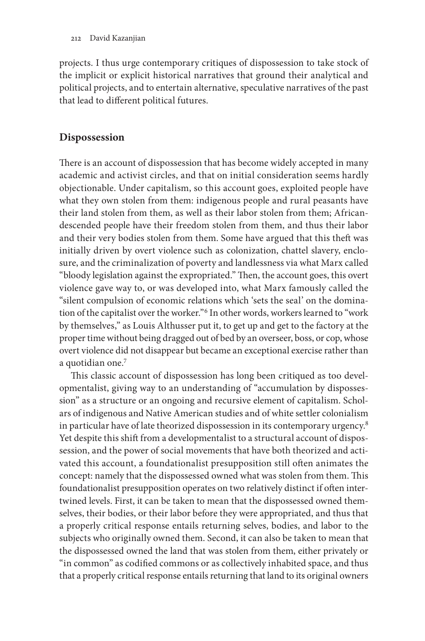projects. I thus urge contemporary critiques of dispossession to take stock of the implicit or explicit historical narratives that ground their analytical and political projects, and to entertain alternative, speculative narratives of the past that lead to different political futures.

# **Dispossession**

There is an account of dispossession that has become widely accepted in many academic and activist circles, and that on initial consideration seems hardly objectionable. Under capitalism, so this account goes, exploited people have what they own stolen from them: indigenous people and rural peasants have their land stolen from them, as well as their labor stolen from them; Africandescended people have their freedom stolen from them, and thus their labor and their very bodies stolen from them. Some have argued that this theft was initially driven by overt violence such as colonization, chattel slavery, enclosure, and the criminalization of poverty and landlessness via what Marx called "bloody legislation against the expropriated." Then, the account goes, this overt violence gave way to, or was developed into, what Marx famously called the "silent compulsion of economic relations which 'sets the seal' on the domination of the capitalist over the worker."<sup>6</sup> In other words, workers learned to "work by themselves," as Louis Althusser put it, to get up and get to the factory at the proper time without being dragged out of bed by an overseer, boss, or cop, whose overt violence did not disappear but became an exceptional exercise rather than a quotidian one.<sup>7</sup>

This classic account of dispossession has long been critiqued as too developmentalist, giving way to an understanding of "accumulation by dispossession" as a structure or an ongoing and recursive element of capitalism. Scholars of indigenous and Native American studies and of white settler colonialism in particular have of late theorized dispossession in its contemporary urgency.<sup>8</sup> Yet despite this shift from a developmentalist to a structural account of dispossession, and the power of social movements that have both theorized and activated this account, a foundationalist presupposition still often animates the concept: namely that the dispossessed owned what was stolen from them. This foundationalist presupposition operates on two relatively distinct if often intertwined levels. First, it can be taken to mean that the dispossessed owned themselves, their bodies, or their labor before they were appropriated, and thus that a properly critical response entails returning selves, bodies, and labor to the subjects who originally owned them. Second, it can also be taken to mean that the dispossessed owned the land that was stolen from them, either privately or "in common" as codified commons or as collectively inhabited space, and thus that a properly critical response entails returning that land to its original owners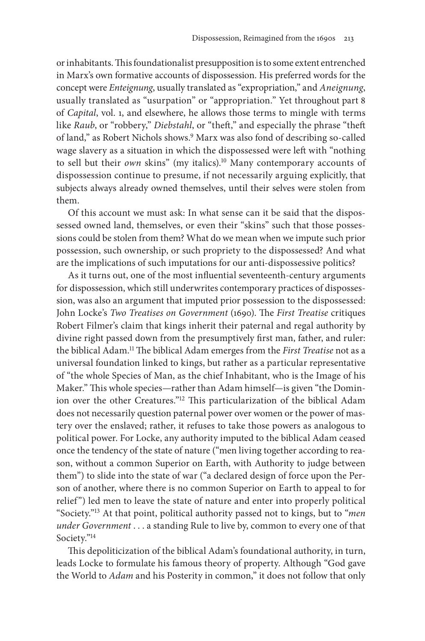or inhabitants. This foundationalist presupposition is to some extent entrenched in Marx's own formative accounts of dispossession. His preferred words for the concept were *Enteignung*, usually translated as "expropriation," and *Aneignung*, usually translated as "usurpation" or "appropriation." Yet throughout part 8 of *Capital*, vol. 1, and elsewhere, he allows those terms to mingle with terms like *Raub*, or "robbery," *Diebstahl*, or "theft," and especially the phrase "theft of land," as Robert Nichols shows.<sup>9</sup> Marx was also fond of describing so-called wage slavery as a situation in which the dispossessed were left with "nothing to sell but their *own* skins" (my italics).<sup>10</sup> Many contemporary accounts of dispossession continue to presume, if not necessarily arguing explicitly, that subjects always already owned themselves, until their selves were stolen from them.

Of this account we must ask: In what sense can it be said that the dispossessed owned land, themselves, or even their "skins" such that those possessions could be stolen from them? What do we mean when we impute such prior possession, such ownership, or such propriety to the dispossessed? And what are the implications of such imputations for our anti- dispossessive politics?

As it turns out, one of the most influential seventeenth-century arguments for dispossession, which still underwrites contemporary practices of dispossession, was also an argument that imputed prior possession to the dispossessed: John Locke's *Two Treatises on Government* (1690). The *First Treatise* critiques Robert Filmer's claim that kings inherit their paternal and regal authority by divine right passed down from the presumptively first man, father, and ruler: the biblical Adam.<sup>11</sup> The biblical Adam emerges from the *First Treatise* not as a universal foundation linked to kings, but rather as a particular representative of "the whole Species of Man, as the chief Inhabitant, who is the Image of his Maker." This whole species—rather than Adam himself—is given "the Dominion over the other Creatures."<sup>12</sup> This particularization of the biblical Adam does not necessarily question paternal power over women or the power of mastery over the enslaved; rather, it refuses to take those powers as analogous to political power. For Locke, any authority imputed to the biblical Adam ceased once the tendency of the state of nature ("men living together according to reason, without a common Superior on Earth, with Authority to judge between them") to slide into the state of war ("a declared design of force upon the Person of another, where there is no common Superior on Earth to appeal to for relief") led men to leave the state of nature and enter into properly political "Society."<sup>13</sup> At that point, political authority passed not to kings, but to "*men under Government* . . . a standing Rule to live by, common to every one of that Society."<sup>14</sup>

This depoliticization of the biblical Adam's foundational authority, in turn, leads Locke to formulate his famous theory of property. Although "God gave the World to *Adam* and his Posterity in common," it does not follow that only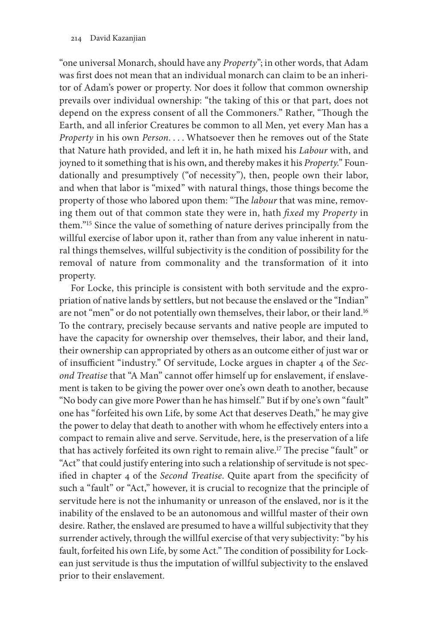"one universal Monarch, should have any *Property*"; in other words, that Adam was first does not mean that an individual monarch can claim to be an inheritor of Adam's power or property. Nor does it follow that common ownership prevails over individual ownership: "the taking of this or that part, does not depend on the express consent of all the Commoners." Rather, "Though the Earth, and all inferior Creatures be common to all Men, yet every Man has a *Property* in his own *Person*. . . . Whatsoever then he removes out of the State that Nature hath provided, and left it in, he hath mixed his *Labour* with, and joyned to it something that is his own, and thereby makes it his *Property*." Foundationally and presumptively ("of necessity"), then, people own their labor, and when that labor is "mixed" with natural things, those things become the property of those who labored upon them: "The *labour* that was mine, removing them out of that common state they were in, hath *fixed* my *Property* in them."<sup>15</sup> Since the value of something of nature derives principally from the willful exercise of labor upon it, rather than from any value inherent in natural things themselves, willful subjectivity is the condition of possibility for the removal of nature from commonality and the transformation of it into property.

For Locke, this principle is consistent with both servitude and the expropriation of native lands by settlers, but not because the enslaved or the "Indian" are not "men" or do not potentially own themselves, their labor, or their land.<sup>16</sup> To the contrary, precisely because servants and native people are imputed to have the capacity for ownership over themselves, their labor, and their land, their ownership can appropriated by others as an outcome either of just war or of insufficient "industry." Of servitude, Locke argues in chapter 4 of the *Second Treatise* that "A Man" cannot offer himself up for enslavement, if enslavement is taken to be giving the power over one's own death to another, because "No body can give more Power than he has himself." But if by one's own "fault" one has "forfeited his own Life, by some Act that deserves Death," he may give the power to delay that death to another with whom he effectively enters into a compact to remain alive and serve. Servitude, here, is the preservation of a life that has actively forfeited its own right to remain alive.<sup>17</sup> The precise "fault" or "Act" that could justify entering into such a relationship of servitude is not specified in chapter 4 of the *Second Treatise*. Quite apart from the specificity of such a "fault" or "Act," however, it is crucial to recognize that the principle of servitude here is not the inhumanity or unreason of the enslaved, nor is it the inability of the enslaved to be an autonomous and willful master of their own desire. Rather, the enslaved are presumed to have a willful subjectivity that they surrender actively, through the willful exercise of that very subjectivity: "by his fault, forfeited his own Life, by some Act." The condition of possibility for Lockean just servitude is thus the imputation of willful subjectivity to the enslaved prior to their enslavement.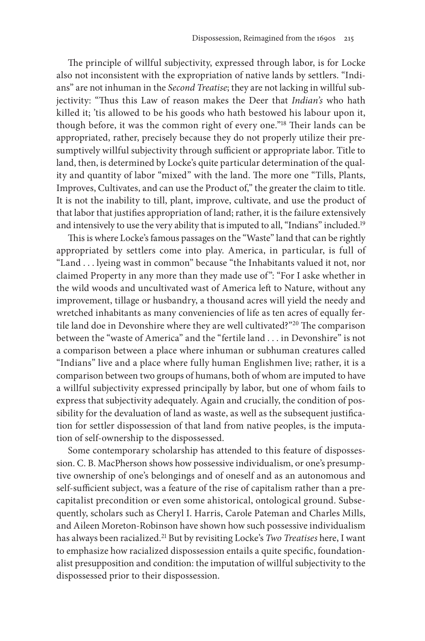The principle of willful subjectivity, expressed through labor, is for Locke also not inconsistent with the expropriation of native lands by settlers. "Indians" are not inhuman in the *Second Treatise*; they are not lacking in willful subjectivity: "Thus this Law of reason makes the Deer that *Indian's* who hath killed it; 'tis allowed to be his goods who hath bestowed his labour upon it, though before, it was the common right of every one."<sup>18</sup> Their lands can be appropriated, rather, precisely because they do not properly utilize their presumptively willful subjectivity through sufficient or appropriate labor. Title to land, then, is determined by Locke's quite particular determination of the quality and quantity of labor "mixed" with the land. The more one "Tills, Plants, Improves, Cultivates, and can use the Product of," the greater the claim to title. It is not the inability to till, plant, improve, cultivate, and use the product of that labor that justifies appropriation of land; rather, it is the failure extensively and intensively to use the very ability that is imputed to all, "Indians" included.<sup>19</sup>

This is where Locke's famous passages on the "Waste" land that can be rightly appropriated by settlers come into play. America, in particular, is full of "Land . . . lyeing wast in common" because "the Inhabitants valued it not, nor claimed Property in any more than they made use of": "For I aske whether in the wild woods and uncultivated wast of America left to Nature, without any improvement, tillage or husbandry, a thousand acres will yield the needy and wretched inhabitants as many conveniencies of life as ten acres of equally fertile land doe in Devonshire where they are well cultivated?"<sup>20</sup> The comparison between the "waste of America" and the "fertile land . . . in Devonshire" is not a comparison between a place where inhuman or subhuman creatures called "Indians" live and a place where fully human Englishmen live; rather, it is a comparison between two groups of humans, both of whom are imputed to have a willful subjectivity expressed principally by labor, but one of whom fails to express that subjectivity adequately. Again and crucially, the condition of possibility for the devaluation of land as waste, as well as the subsequent justification for settler dispossession of that land from native peoples, is the imputation of self-ownership to the dispossessed.

Some contemporary scholarship has attended to this feature of dispossession. C. B. MacPherson shows how possessive individualism, or one's presumptive ownership of one's belongings and of oneself and as an autonomous and self-sufficient subject, was a feature of the rise of capitalism rather than a precapitalist precondition or even some ahistorical, ontological ground. Subsequently, scholars such as Cheryl I. Harris, Carole Pateman and Charles Mills, and Aileen Moreton- Robinson have shown how such possessive individualism has always been racialized.<sup>21</sup> But by revisiting Locke's *Two Treatises* here, I want to emphasize how racialized dispossession entails a quite specific, foundationalist presupposition and condition: the imputation of willful subjectivity to the dispossessed prior to their dispossession.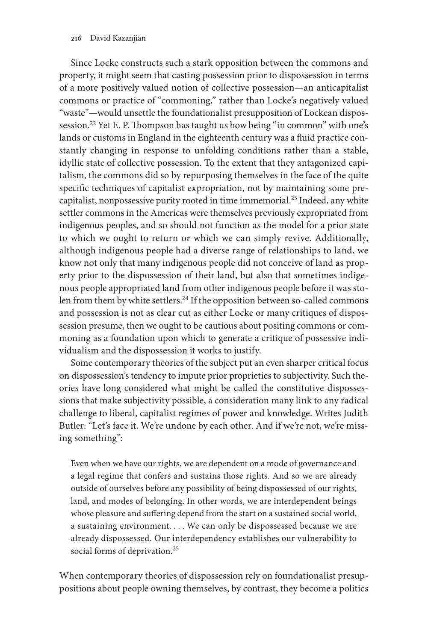Since Locke constructs such a stark opposition between the commons and property, it might seem that casting possession prior to dispossession in terms of a more positively valued notion of collective possession— an anticapitalist commons or practice of "commoning," rather than Locke's negatively valued "waste"— would unsettle the foundationalist presupposition of Lockean dispossession.<sup>22</sup> Yet E. P. Thompson has taught us how being "in common" with one's lands or customs in England in the eighteenth century was a fluid practice constantly changing in response to unfolding conditions rather than a stable, idyllic state of collective possession. To the extent that they antagonized capitalism, the commons did so by repurposing themselves in the face of the quite specific techniques of capitalist expropriation, not by maintaining some precapitalist, nonpossessive purity rooted in time immemorial.<sup>23</sup> Indeed, any white settler commons in the Americas were themselves previously expropriated from indigenous peoples, and so should not function as the model for a prior state to which we ought to return or which we can simply revive. Additionally, although indigenous people had a diverse range of relationships to land, we know not only that many indigenous people did not conceive of land as property prior to the dispossession of their land, but also that sometimes indigenous people appropriated land from other indigenous people before it was stolen from them by white settlers.<sup>24</sup> If the opposition between so-called commons and possession is not as clear cut as either Locke or many critiques of dispossession presume, then we ought to be cautious about positing commons or commoning as a foundation upon which to generate a critique of possessive individualism and the dispossession it works to justify.

Some contemporary theories of the subject put an even sharper critical focus on dispossession's tendency to impute prior proprieties to subjectivity. Such theories have long considered what might be called the constitutive dispossessions that make subjectivity possible, a consideration many link to any radical challenge to liberal, capitalist regimes of power and knowledge. Writes Judith Butler: "Let's face it. We're undone by each other. And if we're not, we're missing something":

Even when we have our rights, we are dependent on a mode of governance and a legal regime that confers and sustains those rights. And so we are already outside of ourselves before any possibility of being dispossessed of our rights, land, and modes of belonging. In other words, we are interdependent beings whose pleasure and suffering depend from the start on a sustained social world, a sustaining environment. . . . We can only be dispossessed because we are already dispossessed. Our interdependency establishes our vulnerability to social forms of deprivation.<sup>25</sup>

When contemporary theories of dispossession rely on foundationalist presuppositions about people owning themselves, by contrast, they become a politics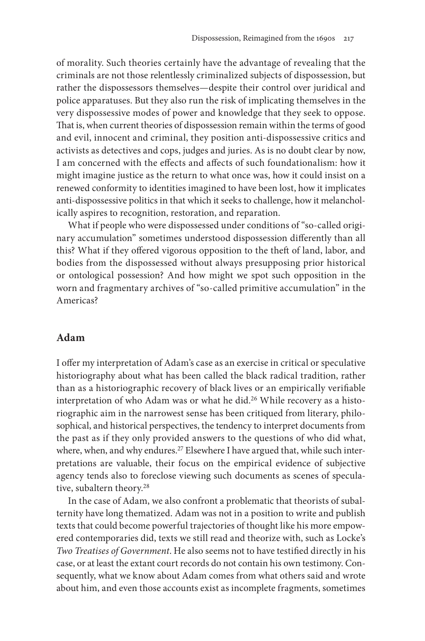of morality. Such theories certainly have the advantage of revealing that the criminals are not those relentlessly criminalized subjects of dispossession, but rather the dispossessors themselves— despite their control over juridical and police apparatuses. But they also run the risk of implicating themselves in the very dispossessive modes of power and knowledge that they seek to oppose. That is, when current theories of dispossession remain within the terms of good and evil, innocent and criminal, they position anti- dispossessive critics and activists as detectives and cops, judges and juries. As is no doubt clear by now, I am concerned with the effects and affects of such foundationalism: how it might imagine justice as the return to what once was, how it could insist on a renewed conformity to identities imagined to have been lost, how it implicates anti- dispossessive politics in that which it seeks to challenge, how it melancholically aspires to recognition, restoration, and reparation.

What if people who were dispossessed under conditions of "so-called originary accumulation" sometimes understood dispossession differently than all this? What if they offered vigorous opposition to the theft of land, labor, and bodies from the dispossessed without always presupposing prior historical or ontological possession? And how might we spot such opposition in the worn and fragmentary archives of "so- called primitive accumulation" in the Americas?

## **Adam**

I offer my interpretation of Adam's case as an exercise in critical or speculative historiography about what has been called the black radical tradition, rather than as a historiographic recovery of black lives or an empirically verifiable interpretation of who Adam was or what he did.<sup>26</sup> While recovery as a historiographic aim in the narrowest sense has been critiqued from literary, philosophical, and historical perspectives, the tendency to interpret documents from the past as if they only provided answers to the questions of who did what, where, when, and why endures.<sup>27</sup> Elsewhere I have argued that, while such interpretations are valuable, their focus on the empirical evidence of subjective agency tends also to foreclose viewing such documents as scenes of speculative, subaltern theory.<sup>28</sup>

In the case of Adam, we also confront a problematic that theorists of subalternity have long thematized. Adam was not in a position to write and publish texts that could become powerful trajectories of thought like his more empowered contemporaries did, texts we still read and theorize with, such as Locke's *Two Treatises of Government*. He also seems not to have testified directly in his case, or at least the extant court records do not contain his own testimony. Consequently, what we know about Adam comes from what others said and wrote about him, and even those accounts exist as incomplete fragments, sometimes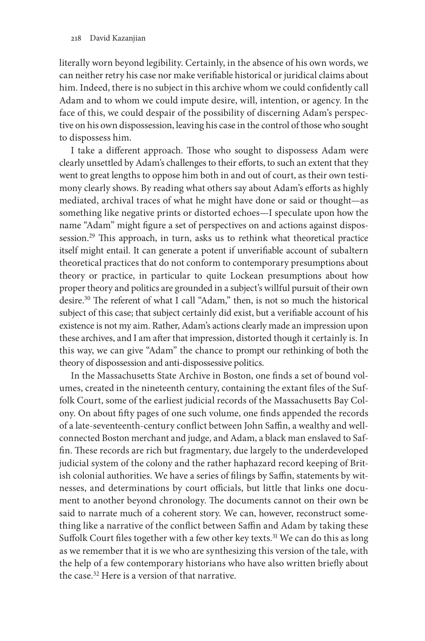literally worn beyond legibility. Certainly, in the absence of his own words, we can neither retry his case nor make verifiable historical or juridical claims about him. Indeed, there is no subject in this archive whom we could confidently call Adam and to whom we could impute desire, will, intention, or agency. In the face of this, we could despair of the possibility of discerning Adam's perspective on his own dispossession, leaving his case in the control of those who sought to dispossess him.

I take a different approach. Those who sought to dispossess Adam were clearly unsettled by Adam's challenges to their efforts, to such an extent that they went to great lengths to oppose him both in and out of court, as their own testimony clearly shows. By reading what others say about Adam's efforts as highly mediated, archival traces of what he might have done or said or thought— as something like negative prints or distorted echoes— I speculate upon how the name "Adam" might figure a set of perspectives on and actions against dispossession.<sup>29</sup> This approach, in turn, asks us to rethink what theoretical practice itself might entail. It can generate a potent if unverifiable account of subaltern theoretical practices that do not conform to contemporary presumptions about theory or practice, in particular to quite Lockean presumptions about how proper theory and politics are grounded in a subject's willful pursuit of their own desire.<sup>30</sup> The referent of what I call "Adam," then, is not so much the historical subject of this case; that subject certainly did exist, but a verifiable account of his existence is not my aim. Rather, Adam's actions clearly made an impression upon these archives, and I am after that impression, distorted though it certainly is. In this way, we can give "Adam" the chance to prompt our rethinking of both the theory of dispossession and anti-dispossessive politics.

In the Massachusetts State Archive in Boston, one finds a set of bound volumes, created in the nineteenth century, containing the extant files of the Suffolk Court, some of the earliest judicial records of the Massachusetts Bay Colony. On about fifty pages of one such volume, one finds appended the records of a late-seventeenth-century conflict between John Saffin, a wealthy and wellconnected Boston merchant and judge, and Adam, a black man enslaved to Saf fin. These records are rich but fragmentary, due largely to the underdeveloped judicial system of the colony and the rather haphazard record keeping of British colonial authorities. We have a series of filings by Saffin, statements by witnesses, and determinations by court officials, but little that links one document to another beyond chronology. The documents cannot on their own be said to narrate much of a coherent story. We can, however, reconstruct something like a narrative of the conflict between Saffin and Adam by taking these Suffolk Court files together with a few other key texts.<sup>31</sup> We can do this as long as we remember that it is we who are synthesizing this version of the tale, with the help of a few contemporary historians who have also written briefly about the case.32 Here is a version of that narrative.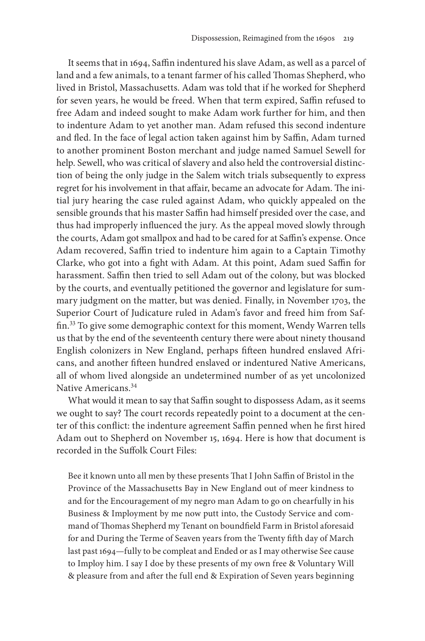It seems that in 1694, Saffin indentured his slave Adam, as well as a parcel of land and a few animals, to a tenant farmer of his called Thomas Shepherd, who lived in Bristol, Massachusetts. Adam was told that if he worked for Shepherd for seven years, he would be freed. When that term expired, Saffin refused to free Adam and indeed sought to make Adam work further for him, and then to indenture Adam to yet another man. Adam refused this second indenture and fled. In the face of legal action taken against him by Saffin, Adam turned to another prominent Boston merchant and judge named Samuel Sewell for help. Sewell, who was critical of slavery and also held the controversial distinction of being the only judge in the Salem witch trials subsequently to express regret for his involvement in that affair, became an advocate for Adam. The initial jury hearing the case ruled against Adam, who quickly appealed on the sensible grounds that his master Saffin had himself presided over the case, and thus had improperly influenced the jury. As the appeal moved slowly through the courts, Adam got smallpox and had to be cared for at Saffin's expense. Once Adam recovered, Saffin tried to indenture him again to a Captain Timothy Clarke, who got into a fight with Adam. At this point, Adam sued Saffin for harassment. Saffin then tried to sell Adam out of the colony, but was blocked by the courts, and eventually petitioned the governor and legislature for summary judgment on the matter, but was denied. Finally, in November 1703, the Superior Court of Judicature ruled in Adam's favor and freed him from Saf fin.<sup>33</sup> To give some demographic context for this moment, Wendy Warren tells us that by the end of the seventeenth century there were about ninety thousand English colonizers in New England, perhaps fifteen hundred enslaved Africans, and another fifteen hundred enslaved or indentured Native Americans, all of whom lived alongside an undetermined number of as yet uncolonized Native Americans.<sup>34</sup>

What would it mean to say that Saffin sought to dispossess Adam, as it seems we ought to say? The court records repeatedly point to a document at the center of this conflict: the indenture agreement Saffin penned when he first hired Adam out to Shepherd on November 15, 1694. Here is how that document is recorded in the Suffolk Court Files:

Bee it known unto all men by these presents That I John Saffin of Bristol in the Province of the Massachusetts Bay in New England out of meer kindness to and for the Encouragement of my negro man Adam to go on chearfully in his Business & Imployment by me now putt into, the Custody Service and command of Thomas Shepherd my Tenant on boundfield Farm in Bristol aforesaid for and During the Terme of Seaven years from the Twenty fifth day of March last past 1694— fully to be compleat and Ended or as I may otherwise See cause to Imploy him. I say I doe by these presents of my own free & Voluntary Will & pleasure from and after the full end & Expiration of Seven years beginning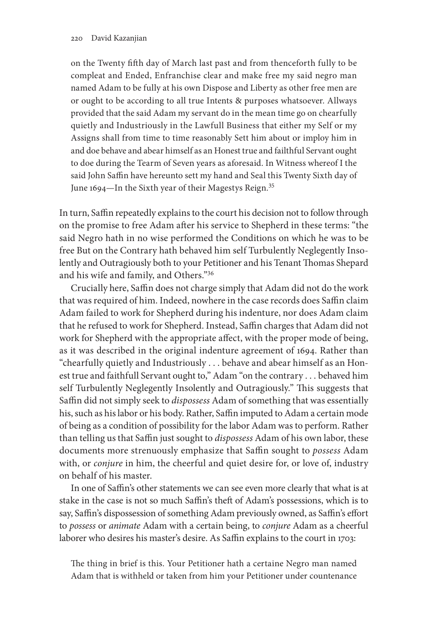on the Twenty fifth day of March last past and from thenceforth fully to be compleat and Ended, Enfranchise clear and make free my said negro man named Adam to be fully at his own Dispose and Liberty as other free men are or ought to be according to all true Intents & purposes whatsoever. Allways provided that the said Adam my servant do in the mean time go on chearfully quietly and Industriously in the Lawfull Business that either my Self or my Assigns shall from time to time reasonably Sett him about or imploy him in and doe behave and abear himself as an Honest true and failthful Servant ought to doe during the Tearm of Seven years as aforesaid. In Witness whereof I the said John Saffin have hereunto sett my hand and Seal this Twenty Sixth day of June 1694—In the Sixth year of their Magestys Reign.<sup>35</sup>

In turn, Saffin repeatedly explains to the court his decision not to follow through on the promise to free Adam after his service to Shepherd in these terms: "the said Negro hath in no wise performed the Conditions on which he was to be free But on the Contrary hath behaved him self Turbulently Neglegently Insolently and Outragiously both to your Petitioner and his Tenant Thomas Shepard and his wife and family, and Others."<sup>36</sup>

Crucially here, Saffin does not charge simply that Adam did not do the work that was required of him. Indeed, nowhere in the case records does Saffin claim Adam failed to work for Shepherd during his indenture, nor does Adam claim that he refused to work for Shepherd. Instead, Saffin charges that Adam did not work for Shepherd with the appropriate affect, with the proper mode of being, as it was described in the original indenture agreement of 1694. Rather than "chearfully quietly and Industriously . . . behave and abear himself as an Honest true and faithfull Servant ought to," Adam "on the contrary . . . behaved him self Turbulently Neglegently Insolently and Outragiously." This suggests that Saffin did not simply seek to *dispossess* Adam of something that was essentially his, such as his labor or his body. Rather, Saffin imputed to Adam a certain mode of being as a condition of possibility for the labor Adam was to perform. Rather than telling us that Saffin just sought to *dispossess* Adam of his own labor, these documents more strenuously emphasize that Saffin sought to *possess* Adam with, or *conjure* in him, the cheerful and quiet desire for, or love of, industry on behalf of his master.

In one of Saffin's other statements we can see even more clearly that what is at stake in the case is not so much Saffin's theft of Adam's possessions, which is to say, Saffin's dispossession of something Adam previously owned, as Saffin's effort to *possess* or *animate* Adam with a certain being, to *conjure* Adam as a cheerful laborer who desires his master's desire. As Saffin explains to the court in 1703:

The thing in brief is this. Your Petitioner hath a certaine Negro man named Adam that is withheld or taken from him your Petitioner under countenance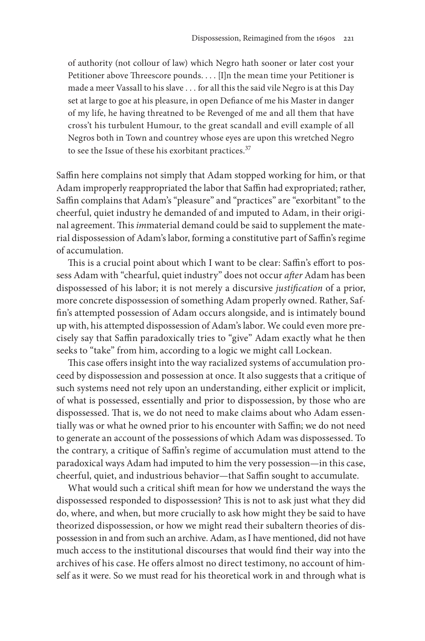of authority (not collour of law) which Negro hath sooner or later cost your Petitioner above Threescore pounds. . . . [I]n the mean time your Petitioner is made a meer Vassall to his slave . . . for all this the said vile Negro is at this Day set at large to goe at his pleasure, in open Defiance of me his Master in danger of my life, he having threatned to be Revenged of me and all them that have cross't his turbulent Humour, to the great scandall and evill example of all Negros both in Town and countrey whose eyes are upon this wretched Negro to see the Issue of these his exorbitant practices.<sup>37</sup>

Saffin here complains not simply that Adam stopped working for him, or that Adam improperly reappropriated the labor that Saffin had expropriated; rather, Saffin complains that Adam's "pleasure" and "practices" are "exorbitant" to the cheerful, quiet industry he demanded of and imputed to Adam, in their original agreement. This *im*material demand could be said to supplement the material dispossession of Adam's labor, forming a constitutive part of Saffin's regime of accumulation.

This is a crucial point about which I want to be clear: Saffin's effort to possess Adam with "chearful, quiet industry" does not occur after Adam has been dispossessed of his labor; it is not merely a discursive *justification* of a prior, more concrete dispossession of something Adam properly owned. Rather, Saf fin's attempted possession of Adam occurs alongside, and is intimately bound up with, his attempted dispossession of Adam's labor. We could even more precisely say that Saffin paradoxically tries to "give" Adam exactly what he then seeks to "take" from him, according to a logic we might call Lockean.

This case offers insight into the way racialized systems of accumulation proceed by dispossession and possession at once. It also suggests that a critique of such systems need not rely upon an understanding, either explicit or implicit, of what is possessed, essentially and prior to dispossession, by those who are dispossessed. That is, we do not need to make claims about who Adam essentially was or what he owned prior to his encounter with Saffin; we do not need to generate an account of the possessions of which Adam was dispossessed. To the contrary, a critique of Saffin's regime of accumulation must attend to the paradoxical ways Adam had imputed to him the very possession— in this case, cheerful, quiet, and industrious behavior-that Saffin sought to accumulate.

What would such a critical shift mean for how we understand the ways the dispossessed responded to dispossession? This is not to ask just what they did do, where, and when, but more crucially to ask how might they be said to have theorized dispossession, or how we might read their subaltern theories of dispossession in and from such an archive. Adam, as I have mentioned, did not have much access to the institutional discourses that would find their way into the archives of his case. He offers almost no direct testimony, no account of himself as it were. So we must read for his theoretical work in and through what is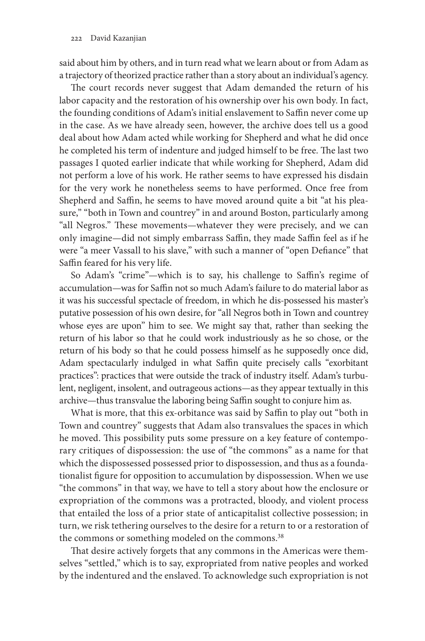said about him by others, and in turn read what we learn about or from Adam as a trajectory of theorized practice rather than a story about an individual's agency.

The court records never suggest that Adam demanded the return of his labor capacity and the restoration of his ownership over his own body. In fact, the founding conditions of Adam's initial enslavement to Saffin never come up in the case. As we have already seen, however, the archive does tell us a good deal about how Adam acted while working for Shepherd and what he did once he completed his term of indenture and judged himself to be free. The last two passages I quoted earlier indicate that while working for Shepherd, Adam did not perform a love of his work. He rather seems to have expressed his disdain for the very work he nonetheless seems to have performed. Once free from Shepherd and Saffin, he seems to have moved around quite a bit "at his pleasure," "both in Town and countrey" in and around Boston, particularly among "all Negros." These movements—whatever they were precisely, and we can only imagine—did not simply embarrass Saffin, they made Saffin feel as if he were "a meer Vassall to his slave," with such a manner of "open Defiance" that Saffin feared for his very life.

So Adam's "crime"—which is to say, his challenge to Saffin's regime of accumulation—was for Saffin not so much Adam's failure to do material labor as it was his successful spectacle of freedom, in which he dis- possessed his master's putative possession of his own desire, for "all Negros both in Town and countrey whose eyes are upon" him to see. We might say that, rather than seeking the return of his labor so that he could work industriously as he so chose, or the return of his body so that he could possess himself as he supposedly once did, Adam spectacularly indulged in what Saffin quite precisely calls "exorbitant practices": practices that were outside the track of industry itself. Adam's turbulent, negligent, insolent, and outrageous actions— as they appear textually in this archive—thus transvalue the laboring being Saffin sought to conjure him as.

What is more, that this ex-orbitance was said by Saffin to play out "both in Town and countrey" suggests that Adam also transvalues the spaces in which he moved. This possibility puts some pressure on a key feature of contemporary critiques of dispossession: the use of "the commons" as a name for that which the dispossessed possessed prior to dispossession, and thus as a foundationalist figure for opposition to accumulation by dispossession. When we use "the commons" in that way, we have to tell a story about how the enclosure or expropriation of the commons was a protracted, bloody, and violent process that entailed the loss of a prior state of anticapitalist collective possession; in turn, we risk tethering ourselves to the desire for a return to or a restoration of the commons or something modeled on the commons.<sup>38</sup>

That desire actively forgets that any commons in the Americas were themselves "settled," which is to say, expropriated from native peoples and worked by the indentured and the enslaved. To acknowledge such expropriation is not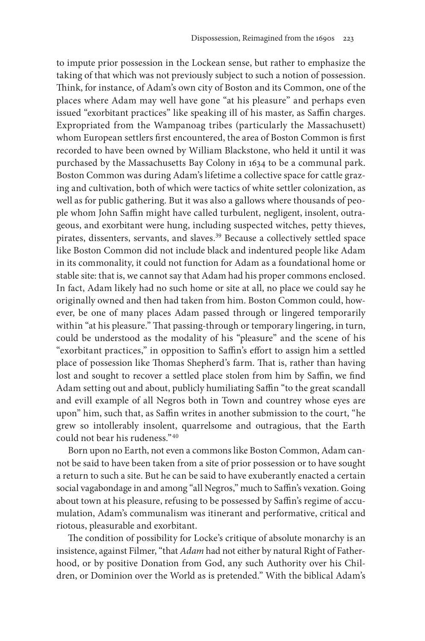to impute prior possession in the Lockean sense, but rather to emphasize the taking of that which was not previously subject to such a notion of possession. Think, for instance, of Adam's own city of Boston and its Common, one of the places where Adam may well have gone "at his pleasure" and perhaps even issued "exorbitant practices" like speaking ill of his master, as Saffin charges. Expropriated from the Wampanoag tribes (particularly the Massachusett) whom European settlers first encountered, the area of Boston Common is first recorded to have been owned by William Blackstone, who held it until it was purchased by the Massachusetts Bay Colony in 1634 to be a communal park. Boston Common was during Adam's lifetime a collective space for cattle grazing and cultivation, both of which were tactics of white settler colonization, as well as for public gathering. But it was also a gallows where thousands of people whom John Saffin might have called turbulent, negligent, insolent, outrageous, and exorbitant were hung, including suspected witches, petty thieves, pirates, dissenters, servants, and slaves.<sup>39</sup> Because a collectively settled space like Boston Common did not include black and indentured people like Adam in its commonality, it could not function for Adam as a foundational home or stable site: that is, we cannot say that Adam had his proper commons enclosed. In fact, Adam likely had no such home or site at all, no place we could say he originally owned and then had taken from him. Boston Common could, however, be one of many places Adam passed through or lingered temporarily within "at his pleasure." That passing-through or temporary lingering, in turn, could be understood as the modality of his "pleasure" and the scene of his "exorbitant practices," in opposition to Saffin's effort to assign him a settled place of possession like Thomas Shepherd's farm. That is, rather than having lost and sought to recover a settled place stolen from him by Saffin, we find Adam setting out and about, publicly humiliating Saffin "to the great scandall and evill example of all Negros both in Town and countrey whose eyes are upon" him, such that, as Saffin writes in another submission to the court, "he grew so intollerably insolent, quarrelsome and outragious, that the Earth could not bear his rudeness." <sup>40</sup>

Born upon no Earth, not even a commons like Boston Common, Adam cannot be said to have been taken from a site of prior possession or to have sought a return to such a site. But he can be said to have exuberantly enacted a certain social vagabondage in and among "all Negros," much to Saffin's vexation. Going about town at his pleasure, refusing to be possessed by Saffin's regime of accumulation, Adam's communalism was itinerant and performative, critical and riotous, pleasurable and exorbitant.

The condition of possibility for Locke's critique of absolute monarchy is an insistence, against Filmer, "that *Adam* had not either by natural Right of Fatherhood, or by positive Donation from God, any such Authority over his Children, or Dominion over the World as is pretended." With the biblical Adam's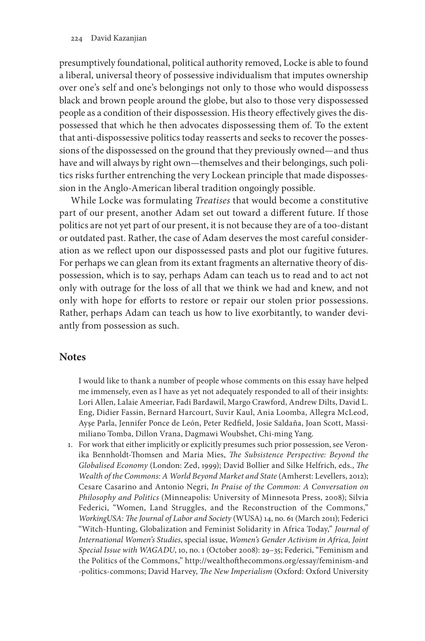presumptively foundational, political authority removed, Locke is able to found a liberal, universal theory of possessive individualism that imputes ownership over one's self and one's belongings not only to those who would dispossess black and brown people around the globe, but also to those very dispossessed people as a condition of their dispossession. His theory effectively gives the dispossessed that which he then advocates dispossessing them of. To the extent that anti- dispossessive politics today reasserts and seeks to recover the possessions of the dispossessed on the ground that they previously owned— and thus have and will always by right own— themselves and their belongings, such politics risks further entrenching the very Lockean principle that made dispossession in the Anglo-American liberal tradition ongoingly possible.

While Locke was formulating *Treatises* that would become a constitutive part of our present, another Adam set out toward a different future. If those politics are not yet part of our present, it is not because they are of a too- distant or outdated past. Rather, the case of Adam deserves the most careful consideration as we reflect upon our dispossessed pasts and plot our fugitive futures. For perhaps we can glean from its extant fragments an alternative theory of dispossession, which is to say, perhaps Adam can teach us to read and to act not only with outrage for the loss of all that we think we had and knew, and not only with hope for efforts to restore or repair our stolen prior possessions. Rather, perhaps Adam can teach us how to live exorbitantly, to wander deviantly from possession as such.

#### **Notes**

I would like to thank a number of people whose comments on this essay have helped me immensely, even as I have as yet not adequately responded to all of their insights: Lori Allen, Lalaie Ameeriar, Fadi Bardawil, Margo Crawford, Andrew Dilts, David L. Eng, Didier Fassin, Bernard Harcourt, Suvir Kaul, Ania Loomba, Allegra McLeod, Ayşe Parla, Jennifer Ponce de León, Peter Redfield, Josie Saldaña, Joan Scott, Massimiliano Tomba, Dillon Vrana, Dagmawi Woubshet, Chi- ming Yang.

1. For work that either implicitly or explicitly presumes such prior possession, see Veronika Bennholdt-Thomsen and Maria Mies, *The Subsistence Perspective: Beyond the Globalised Economy* (London: Zed, 1999); David Bollier and Silke Helfrich, eds., The *Wealth of the Commons: A World Beyond Market and State* (Amherst: Levellers, 2012); Cesare Casarino and Antonio Negri, *In Praise of the Common: A Conversation on Philosophy and Politics* (Minneapolis: University of Minnesota Press, 2008); Silvia Federici, "Women, Land Struggles, and the Reconstruction of the Commons," *WorkingUSA:* #*e Journal of Labor and Society* (WUSA) 14, no. 61 (March 2011); Federici "Witch- Hunting, Globalization and Feminist Solidarity in Africa Today," *Journal of International Women's Studies*, special issue, *Women's Gender Activism in Africa, Joint*  Special Issue with WAGADU, 10, no. 1 (October 2008): 29-35; Federici, "Feminism and the Politics of the Commons," http://wealthofthecommons.org/essay/feminism-and - politics - commons; David Harvey, #*e New Imperialism* (Oxford: Oxford University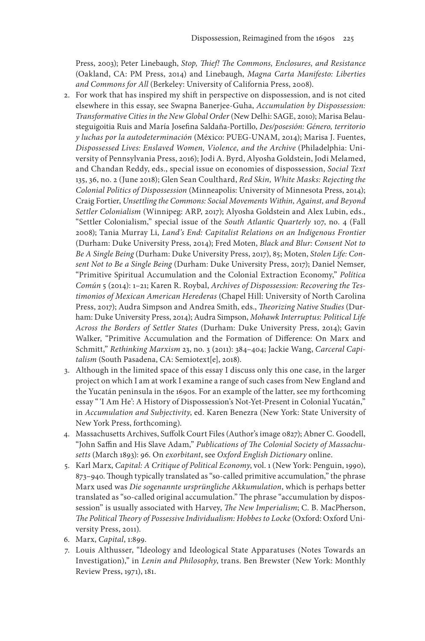Press, 2003); Peter Linebaugh, *Stop, Thief! The Commons, Enclosures, and Resistance* (Oakland, CA: PM Press, 2014) and Linebaugh, *Magna Carta Manifesto: Liberties and Commons for All* (Berkeley: University of California Press, 2008).

- 2. For work that has inspired my shift in perspective on dispossession, and is not cited elsewhere in this essay, see Swapna Banerjee- Guha, *Accumulation by Dispossession: Transformative Cities in the New Global Order* (New Delhi: SAGE, 2010); Marisa Belausteguigoitia Ruis and María Josefina Saldaña-Portillo, *Des/posesión: Género, territorio y luchas por la autodeterminación* (México: PUEG- UNAM, 2014); Marisa J. Fuentes, *Dispossessed Lives: Enslaved Women, Violence, and the Archive* (Philadelphia: University of Pennsylvania Press, 2016); Jodi A. Byrd, Alyosha Goldstein, Jodi Melamed, and Chandan Reddy, eds., special issue on economies of dispossession, *Social Text* 135, 36, no. 2 (June 2018); Glen Sean Coulthard, *Red Skin, White Masks: Rejecting the Colonial Politics of Dispossession* (Minneapolis: University of Minnesota Press, 2014); Craig Fortier, *Unsettling the Commons: Social Movements Within, Against, and Beyond Settler Colonialism* (Winnipeg: ARP, 2017); Alyosha Goldstein and Alex Lubin, eds., "Settler Colonialism," special issue of the *South Atlantic Quarterly* 107, no. 4 (Fall 2008); Tania Murray Li, *Land's End: Capitalist Relations on an Indigenous Frontier* (Durham: Duke University Press, 2014); Fred Moten, *Black and Blur: Consent Not to Be A Single Being* (Durham: Duke University Press, 2017), 85; Moten, *Stolen Life: Consent Not to Be a Single Being* (Durham: Duke University Press, 2017); Daniel Nemser, "Primitive Spiritual Accumulation and the Colonial Extraction Economy," *Política*  Común 5 (2014): 1-21; Karen R. Roybal, *Archives of Dispossession: Recovering the Testimonios of Mexican American Herederas* (Chapel Hill: University of North Carolina Press, 2017); Audra Simpson and Andrea Smith, eds., #*eorizing Native Studies* (Durham: Duke University Press, 2014); Audra Simpson, *Mohawk Interruptus: Political Life Across the Borders of Settler States* (Durham: Duke University Press, 2014); Gavin Walker, "Primitive Accumulation and the Formation of Difference: On Marx and Schmitt," *Rethinking Marxism* 23, no. 3 (2011): 384– 404; Jackie Wang, *Carceral Capitalism* (South Pasadena, CA: Semiotext[e], 2018).
- 3. Although in the limited space of this essay I discuss only this one case, in the larger project on which I am at work I examine a range of such cases from New England and the Yucatán peninsula in the 1690s. For an example of the latter, see my forthcoming essay "'I Am He': A History of Dispossession's Not-Yet-Present in Colonial Yucatán," in *Accumulation and Subjectivity*, ed. Karen Benezra (New York: State University of New York Press, forthcoming).
- 4. Massachusetts Archives, Suffolk Court Files (Author's image 0827); Abner C. Goodell, "John Saffin and His Slave Adam," Publications of The Colonial Society of Massachu*setts* (March 1893): 96. On *exorbitant*, see *Oxford English Dictionary* online.
- 5. Karl Marx, *Capital: A Critique of Political Economy*, vol. 1 (New York: Penguin, 1990), 873-940. Though typically translated as "so-called primitive accumulation," the phrase Marx used was *Die sogenannte ursprüngliche Akkumulation*, which is perhaps better translated as "so-called original accumulation." The phrase "accumulation by dispossession" is usually associated with Harvey, #*e New Imperialism*; C. B. MacPherson, *The Political Theory of Possessive Individualism: Hobbes to Locke* (Oxford: Oxford University Press, 2011).
- 6. Marx, *Capital*, 1:899.
- 7. Louis Althusser, "Ideology and Ideological State Apparatuses (Notes Towards an Investigation)," in *Lenin and Philosophy*, trans. Ben Brewster (New York: Monthly Review Press, 1971), 181.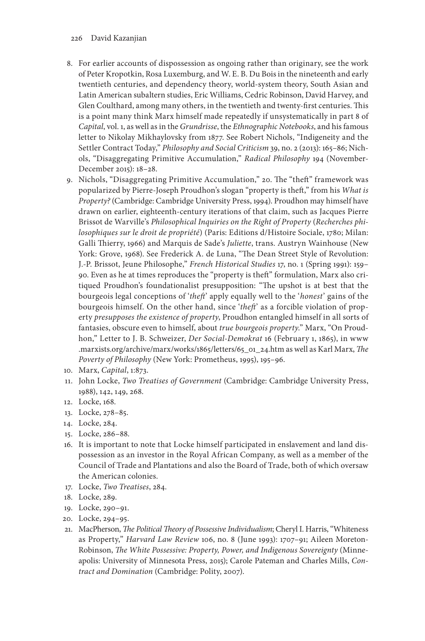#### 226 David Kazanjian

- 8. For earlier accounts of dispossession as ongoing rather than originary, see the work of Peter Kropotkin, Rosa Luxemburg, and W. E. B. Du Bois in the nineteenth and early twentieth centuries, and dependency theory, world- system theory, South Asian and Latin American subaltern studies, Eric Williams, Cedric Robinson, David Harvey, and Glen Coulthard, among many others, in the twentieth and twenty-first centuries. This is a point many think Marx himself made repeatedly if unsystematically in part 8 of *Capital*, vol. 1, as well as in the *Grundrisse*, the *Ethnographic Notebooks*, and his famous letter to Nikolay Mikhaylovsky from 1877. See Robert Nichols, "Indigeneity and the Settler Contract Today," *Philosophy and Social Criticism* 39, no. 2 (2013): 165–86; Nichols, "Disaggregating Primitive Accumulation," *Radical Philosophy* 194 (November-December 2015): 18-28.
- 9. Nichols, "Disaggregating Primitive Accumulation," 20. The "theft" framework was popularized by Pierre- Joseph Proudhon's slogan "property is the#," from his *What is Property?* (Cambridge: Cambridge University Press, 1994). Proudhon may himself have drawn on earlier, eighteenth- century iterations of that claim, such as Jacques Pierre Brissot de Warville's *Philosophical Inquiries on the Right of Property* (*Recherches philosophiques sur le droit de propriété*) (Paris: Editions d/Histoire Sociale, 1780; Milan: Galli Thierry, 1966) and Marquis de Sade's *Juliette*, trans. Austryn Wainhouse (New York: Grove, 1968). See Frederick A. de Luna, "The Dean Street Style of Revolution: J.- P. Brissot, Jeune Philosophe," *French Historical Studies* 17, no. 1 (Spring 1991): 159– 90. Even as he at times reproduces the "property is theft" formulation, Marx also critiqued Proudhon's foundationalist presupposition: "The upshot is at best that the bourgeois legal conceptions of '*the*"' apply equally well to the '*honest*' gains of the bourgeois himself. On the other hand, since '*theft*' as a forcible violation of property *presupposes the existence of property*, Proudhon entangled himself in all sorts of fantasies, obscure even to himself, about *true bourgeois property*." Marx, "On Proudhon," Letter to J. B. Schweizer, *Der Social- Demokrat* 16 (February 1, 1865), in www .marxists.org/archive/marx/works/1865/letters/65\_01\_24.htm as well as Karl Marx, The Poverty of Philosophy (New York: Prometheus, 1995), 195-96.
- 10. Marx, *Capital*, 1:873.
- 11. John Locke, *Two Treatises of Government* (Cambridge: Cambridge University Press, 1988), 142, 149, 268.
- 12. Locke, 168.
- 13. Locke, 278-85.
- 14. Locke, 284.
- 15. Locke, 286– 88.
- 16. It is important to note that Locke himself participated in enslavement and land dispossession as an investor in the Royal African Company, as well as a member of the Council of Trade and Plantations and also the Board of Trade, both of which oversaw the American colonies.
- 17. Locke, *Two Treatises*, 284.
- 18. Locke, 289.
- 19. Locke, 290– 91.
- 20. Locke, 294– 95.
- 21. MacPherson, *The Political Theory of Possessive Individualism*; Cheryl I. Harris, "Whiteness as Property," *Harvard Law Review* 106, no. 8 (June 1993): 1707– 91; Aileen Moreton-Robinson, #*e White Possessive: Property, Power, and Indigenous Sovereignty* (Minneapolis: University of Minnesota Press, 2015); Carole Pateman and Charles Mills, *Contract and Domination* (Cambridge: Polity, 2007).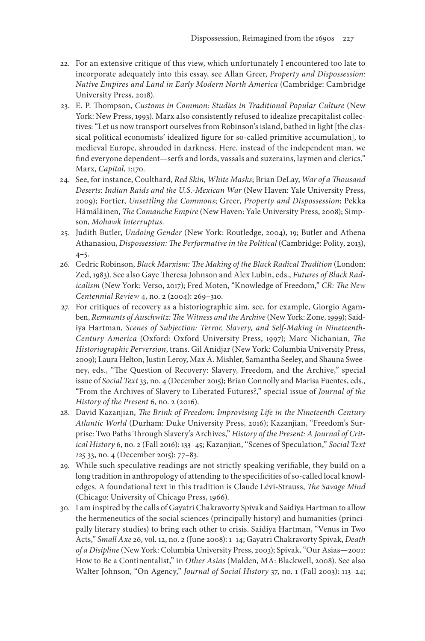- 22. For an extensive critique of this view, which unfortunately I encountered too late to incorporate adequately into this essay, see Allan Greer, *Property and Dispossession: Native Empires and Land in Early Modern North America* (Cambridge: Cambridge University Press, 2018).
- 23. E. P. Thompson, *Customs in Common: Studies in Traditional Popular Culture* (New York: New Press, 1993). Marx also consistently refused to idealize precapitalist collectives: "Let us now transport ourselves from Robinson's island, bathed in light [the classical political economists' idealized figure for so-called primitive accumulation], to medieval Europe, shrouded in darkness. Here, instead of the independent man, we find everyone dependent—serfs and lords, vassals and suzerains, laymen and clerics." Marx, *Capital*, 1:170.
- 24. See, for instance, Coulthard, *Red Skin, White Masks*; Brian DeLay, *War of a Thousand Deserts: Indian Raids and the U.S.- Mexican War* (New Haven: Yale University Press, 2009); Fortier, *Unsettling the Commons*; Greer, *Property and Dispossession*; Pekka Hämäläinen, #*e Comanche Empire* (New Haven: Yale University Press, 2008); Simpson, *Mohawk Interruptus*.
- 25. Judith Butler, *Undoing Gender* (New York: Routledge, 2004), 19; Butler and Athena Athanasiou, *Dispossession:* #*e Performative in the Political* (Cambridge: Polity, 2013),  $4 - 5.$
- 26. Cedric Robinson, *Black Marxism: The Making of the Black Radical Tradition* (London: Zed, 1983). See also Gaye Theresa Johnson and Alex Lubin, eds., *Futures of Black Radicalism* (New York: Verso, 2017); Fred Moten, "Knowledge of Freedom," CR: The New *Centennial Review 4, no. 2 (2004): 269-310.*
- 27. For critiques of recovery as a historiographic aim, see, for example, Giorgio Agamben, *Remnants of Auschwitz: The Witness and the Archive* (New York: Zone, 1999); Saidiya Hartman, Scenes of Subjection: Terror, Slavery, and Self-Making in Nineteenth-*Century America* (Oxford: Oxford University Press, 1997); Marc Nichanian, The *Historiographic Perversion*, trans. Gil Anidjar (New York: Columbia University Press, 2009); Laura Helton, Justin Leroy, Max A. Mishler, Samantha Seeley, and Shauna Sweeney, eds., "The Question of Recovery: Slavery, Freedom, and the Archive," special issue of *Social Text* 33, no. 4 (December 2015); Brian Connolly and Marisa Fuentes, eds., "From the Archives of Slavery to Liberated Futures?," special issue of *Journal of the History of the Present* 6, no. 2 (2016).
- 28. David Kazanjian, *The Brink of Freedom: Improvising Life in the Nineteenth-Century Atlantic World* (Durham: Duke University Press, 2016); Kazanjian, "Freedom's Surprise: Two Paths Through Slavery's Archives," *History of the Present: A Journal of Critical History* 6, no. 2 (Fall 2016): 133– 45; Kazanjian, "Scenes of Speculation," *Social Text*  125 33, no. 4 (December 2015): 77– 83.
- 29. While such speculative readings are not strictly speaking verifiable, they build on a long tradition in anthropology of attending to the specificities of so-called local knowledges. A foundational text in this tradition is Claude Lévi-Strauss, *The Savage Mind* (Chicago: University of Chicago Press, 1966).
- 30. I am inspired by the calls of Gayatri Chakravorty Spivak and Saidiya Hartman to allow the hermeneutics of the social sciences (principally history) and humanities (principally literary studies) to bring each other to crisis. Saidiya Hartman, "Venus in Two Acts," *Small Axe* 26, vol. 12, no. 2 (June 2008): 1– 14; Gayatri Chakravorty Spivak, *Death of a Disipline* (New York: Columbia University Press, 2003); Spivak, "Our Asias— 2001: How to Be a Continentalist," in *Other Asias* (Malden, MA: Blackwell, 2008). See also Walter Johnson, "On Agency," *Journal of Social History* 37, no. 1 (Fall 2003): 113-24;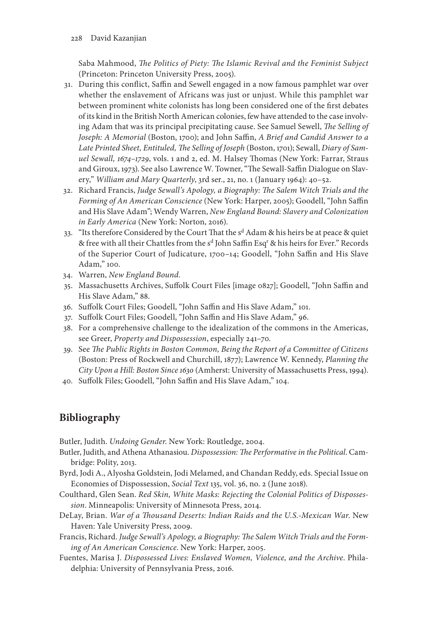#### 228 David Kazanjian

Saba Mahmood, *The Politics of Piety: The Islamic Revival and the Feminist Subject* (Princeton: Princeton University Press, 2005).

- 31. During this conflict, Saffin and Sewell engaged in a now famous pamphlet war over whether the enslavement of Africans was just or unjust. While this pamphlet war between prominent white colonists has long been considered one of the first debates of its kind in the British North American colonies, few have attended to the case involving Adam that was its principal precipitating cause. See Samuel Sewell, *The Selling of Joseph: A Memorial* (Boston, 1700); and John Saffin, *A Brief and Candid Answer to a* Late Printed Sheet, Entituled, The Selling of Joseph (Boston, 1701); Sewall, *Diary of Samuel Sewall, 1674-1729, vols. 1 and 2, ed. M. Halsey Thomas (New York: Farrar, Straus* and Giroux, 1973). See also Lawrence W. Towner, "The Sewall-Saffin Dialogue on Slavery," *William and Mary Quarterly*, 3rd ser., 21, no. 1 (January 1964): 40-52.
- 32. Richard Francis, *Judge Sewall's Apology, a Biography: The Salem Witch Trials and the Forming of An American Conscience* (New York: Harper, 2005); Goodell, "John Saffin and His Slave Adam"; Wendy Warren, *New England Bound: Slavery and Colonization in Early America* (New York: Norton, 2016).
- 33. "Its therefore Considered by the Court That the s<sup>d</sup> Adam & his heirs be at peace & quiet & free with all their Chattles from the  $s^d$  John Saffin Esq<sup>r</sup> & his heirs for Ever." Records of the Superior Court of Judicature, 1700–14; Goodell, "John Saffin and His Slave Adam," 100.
- 34. Warren, *New England Bound*.
- 35. Massachusetts Archives, Suffolk Court Files [image 0827]; Goodell, "John Saffin and His Slave Adam," 88.
- 36. Suffolk Court Files; Goodell, "John Saffin and His Slave Adam," 101.
- 37. Suffolk Court Files; Goodell, "John Saffin and His Slave Adam," 96.
- 38. For a comprehensive challenge to the idealization of the commons in the Americas, see Greer, Property and Dispossession, especially 241-70.
- 39. See #*e Public Rights in Boston Common, Being the Report of a Committee of Citizens* (Boston: Press of Rockwell and Churchill, 1877); Lawrence W. Kennedy, *Planning the City Upon a Hill: Boston Since* 1630 (Amherst: University of Massachusetts Press, 1994).
- 40. Suffolk Files; Goodell, "John Saffin and His Slave Adam," 104.

### **Bibliography**

Butler, Judith. *Undoing Gender*. New York: Routledge, 2004.

- Butler, Judith, and Athena Athanasiou. *Dispossession:* #*e Performative in the Political*. Cambridge: Polity, 2013.
- Byrd, Jodi A., Alyosha Goldstein, Jodi Melamed, and Chandan Reddy, eds. Special Issue on Economies of Dispossession, *Social Text* 135, vol. 36, no. 2 (June 2018).
- Coulthard, Glen Sean. *Red Skin, White Masks: Rejecting the Colonial Politics of Dispossession*. Minneapolis: University of Minnesota Press, 2014.
- DeLay, Brian. *War of a* #*ousand Deserts: Indian Raids and the U.S.- Mexican War*. New Haven: Yale University Press, 2009.
- Francis, Richard. Judge Sewall's Apology, a Biography: The Salem Witch Trials and the Form*ing of An American Conscience*. New York: Harper, 2005.
- Fuentes, Marisa J. *Dispossessed Lives: Enslaved Women, Violence, and the Archive*. Philadelphia: University of Pennsylvania Press, 2016.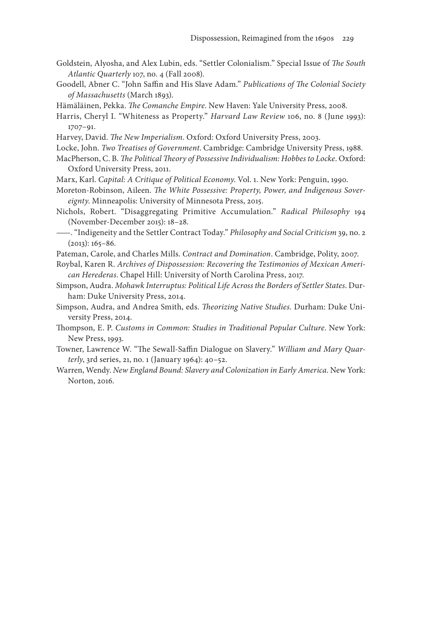- Goldstein, Alyosha, and Alex Lubin, eds. "Settler Colonialism." Special Issue of The South *Atlantic Quarterly* 107, no. 4 (Fall 2008).
- Goodell, Abner C. "John Saffin and His Slave Adam." *Publications of The Colonial Society of Massachusetts* (March 1893).
- Hämäläinen, Pekka. The Comanche Empire. New Haven: Yale University Press, 2008.
- Harris, Cheryl I. "Whiteness as Property." *Harvard Law Review* 106, no. 8 (June 1993): 1707– 91.
- Harvey, David. The New Imperialism. Oxford: Oxford University Press, 2003.
- Locke, John. *Two Treatises of Government*. Cambridge: Cambridge University Press, 1988.
- MacPherson, C. B. *The Political Theory of Possessive Individualism: Hobbes to Locke*. Oxford: Oxford University Press, 2011.
- Marx, Karl. *Capital: A Critique of Political Economy*. Vol. 1. New York: Penguin, 1990.
- Moreton-Robinson, Aileen. *The White Possessive: Property, Power, and Indigenous Sovereignty*. Minneapolis: University of Minnesota Press, 2015.
- Nichols, Robert. "Disaggregating Primitive Accumulation." *Radical Philosophy* 194 (November-December 2015): 18-28.
- — . "Indigeneity and the Settler Contract Today." *Philosophy and Social Criticism* 39, no. 2  $(2013): 165 - 86.$
- Pateman, Carole, and Charles Mills. *Contract and Domination*. Cambridge, Polity, 2007.
- Roybal, Karen R. *Archives of Dispossession: Recovering the Testimonios of Mexican American Herederas*. Chapel Hill: University of North Carolina Press, 2017.
- Simpson, Audra. *Mohawk Interruptus: Political Life Across the Borders of Settler States*. Durham: Duke University Press, 2014.
- Simpson, Audra, and Andrea Smith, eds. #*eorizing Native Studies*. Durham: Duke University Press, 2014.
- Thompson, E. P. *Customs in Common: Studies in Traditional Popular Culture*. New York: New Press, 1993.
- Towner, Lawrence W. "The Sewall-Saffin Dialogue on Slavery." *William and Mary Quarterly*, 3rd series, 21, no. 1 (January 1964): 40–52.
- Warren, Wendy. *New England Bound: Slavery and Colonization in Early America*. New York: Norton, 2016.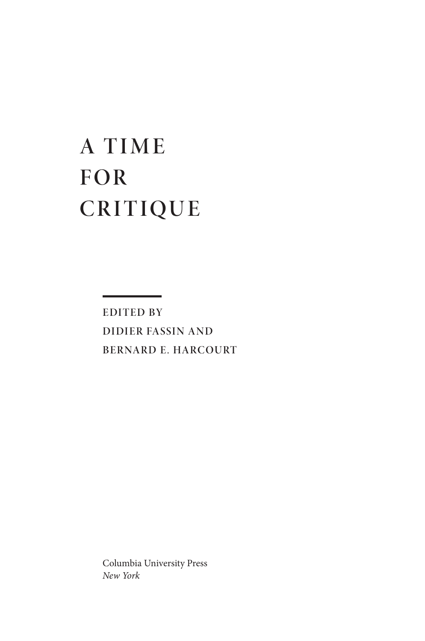# **A T I M E F OR CRITIQUE**

 $\overline{\phantom{a}}$ 

**EDITED BY DIDIER FASSIN AND BERNARD E. HARCOURT**

Columbia University Press *New York*